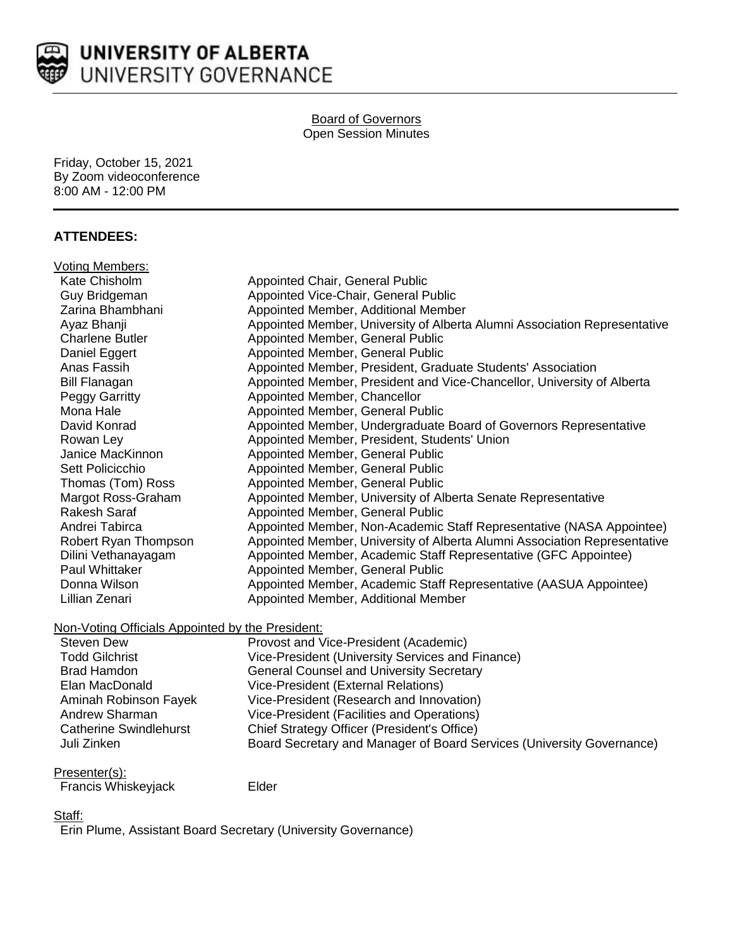

#### Board of Governors Open Session Minutes

Friday, October 15, 2021 By Zoom videoconference 8:00 AM - 12:00 PM

# **ATTENDEES:**

| Voting Members:        |                                                                           |
|------------------------|---------------------------------------------------------------------------|
| Kate Chisholm          | Appointed Chair, General Public                                           |
| Guy Bridgeman          | Appointed Vice-Chair, General Public                                      |
| Zarina Bhambhani       | Appointed Member, Additional Member                                       |
| Ayaz Bhanji            | Appointed Member, University of Alberta Alumni Association Representative |
| <b>Charlene Butler</b> | Appointed Member, General Public                                          |
| Daniel Eggert          | Appointed Member, General Public                                          |
| Anas Fassih            | Appointed Member, President, Graduate Students' Association               |
| <b>Bill Flanagan</b>   | Appointed Member, President and Vice-Chancellor, University of Alberta    |
| Peggy Garritty         | Appointed Member, Chancellor                                              |
| Mona Hale              | Appointed Member, General Public                                          |
| David Konrad           | Appointed Member, Undergraduate Board of Governors Representative         |
| Rowan Ley              | Appointed Member, President, Students' Union                              |
| Janice MacKinnon       | Appointed Member, General Public                                          |
| Sett Policicchio       | Appointed Member, General Public                                          |
| Thomas (Tom) Ross      | Appointed Member, General Public                                          |
| Margot Ross-Graham     | Appointed Member, University of Alberta Senate Representative             |
| Rakesh Saraf           | Appointed Member, General Public                                          |
| Andrei Tabirca         | Appointed Member, Non-Academic Staff Representative (NASA Appointee)      |
| Robert Ryan Thompson   | Appointed Member, University of Alberta Alumni Association Representative |
| Dilini Vethanayagam    | Appointed Member, Academic Staff Representative (GFC Appointee)           |
| Paul Whittaker         | Appointed Member, General Public                                          |
| Donna Wilson           | Appointed Member, Academic Staff Representative (AASUA Appointee)         |
| Lillian Zenari         | Appointed Member, Additional Member                                       |
|                        |                                                                           |

# Non-Voting Officials Appointed by the President:

| Steven Dew                    | Provost and Vice-President (Academic)                                 |
|-------------------------------|-----------------------------------------------------------------------|
| <b>Todd Gilchrist</b>         | Vice-President (University Services and Finance)                      |
| Brad Hamdon                   | <b>General Counsel and University Secretary</b>                       |
| Elan MacDonald                | Vice-President (External Relations)                                   |
| Aminah Robinson Fayek         | Vice-President (Research and Innovation)                              |
| Andrew Sharman                | Vice-President (Facilities and Operations)                            |
| <b>Catherine Swindlehurst</b> | Chief Strategy Officer (President's Office)                           |
| Juli Zinken                   | Board Secretary and Manager of Board Services (University Governance) |

# Presenter(s):

Francis Whiskeyjack **Elder** 

# Staff:

Erin Plume, Assistant Board Secretary (University Governance)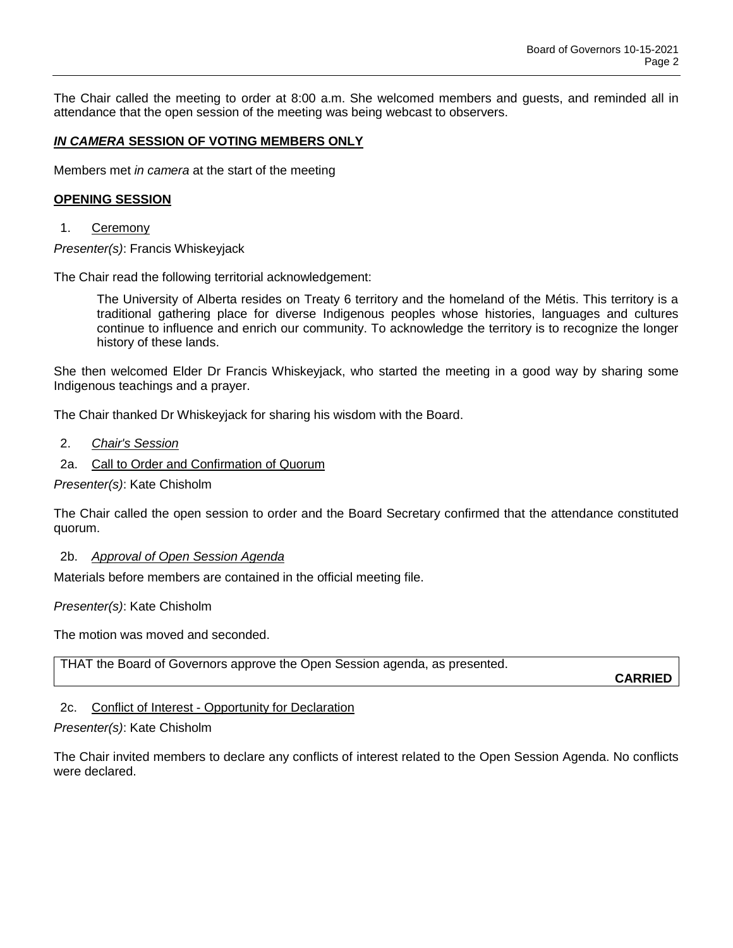The Chair called the meeting to order at 8:00 a.m. She welcomed members and guests, and reminded all in attendance that the open session of the meeting was being webcast to observers.

# *IN CAMERA* **SESSION OF VOTING MEMBERS ONLY**

Members met *in camera* at the start of the meeting

## **OPENING SESSION**

## 1. Ceremony

*Presenter(s)*: Francis Whiskeyjack

The Chair read the following territorial acknowledgement:

The University of Alberta resides on Treaty 6 territory and the homeland of the Métis. This territory is a traditional gathering place for diverse Indigenous peoples whose histories, languages and cultures continue to influence and enrich our community. To acknowledge the territory is to recognize the longer history of these lands.

She then welcomed Elder Dr Francis Whiskeyjack, who started the meeting in a good way by sharing some Indigenous teachings and a prayer.

The Chair thanked Dr Whiskeyjack for sharing his wisdom with the Board.

- 2. *Chair's Session*
- 2a. Call to Order and Confirmation of Quorum

#### *Presenter(s)*: Kate Chisholm

The Chair called the open session to order and the Board Secretary confirmed that the attendance constituted quorum.

#### 2b. *Approval of Open Session Agenda*

Materials before members are contained in the official meeting file.

*Presenter(s)*: Kate Chisholm

The motion was moved and seconded.

THAT the Board of Governors approve the Open Session agenda, as presented.

**CARRIED**

## 2c. Conflict of Interest - Opportunity for Declaration

## *Presenter(s)*: Kate Chisholm

The Chair invited members to declare any conflicts of interest related to the Open Session Agenda. No conflicts were declared.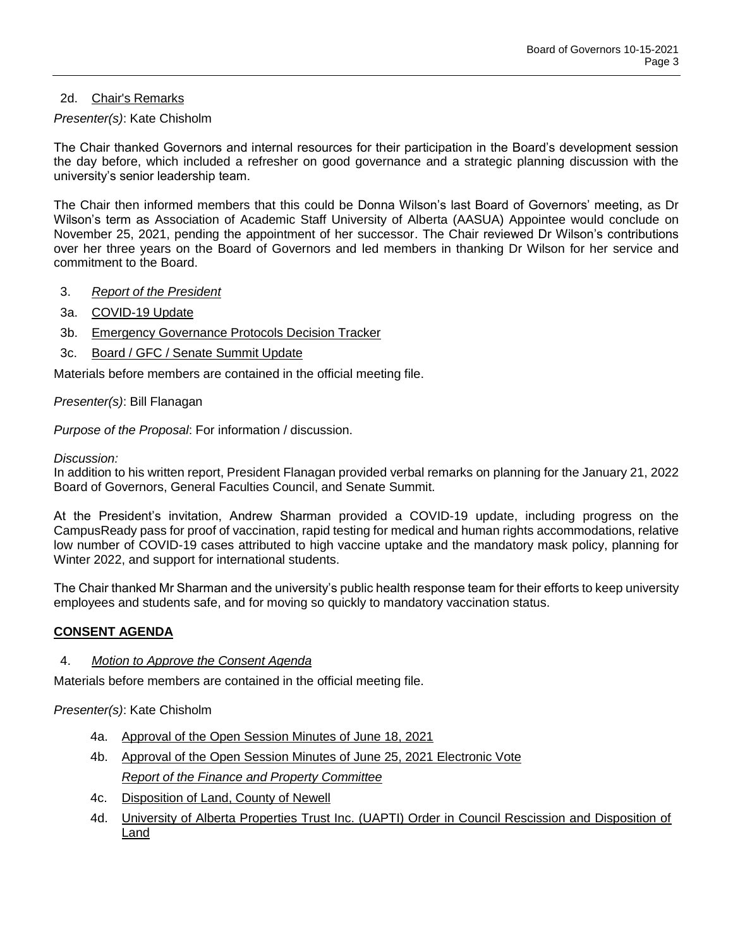# 2d. Chair's Remarks

# *Presenter(s)*: Kate Chisholm

The Chair thanked Governors and internal resources for their participation in the Board's development session the day before, which included a refresher on good governance and a strategic planning discussion with the university's senior leadership team.

The Chair then informed members that this could be Donna Wilson's last Board of Governors' meeting, as Dr Wilson's term as Association of Academic Staff University of Alberta (AASUA) Appointee would conclude on November 25, 2021, pending the appointment of her successor. The Chair reviewed Dr Wilson's contributions over her three years on the Board of Governors and led members in thanking Dr Wilson for her service and commitment to the Board.

- 3. *Report of the President*
- 3a. COVID-19 Update
- 3b. Emergency Governance Protocols Decision Tracker
- 3c. Board / GFC / Senate Summit Update

Materials before members are contained in the official meeting file.

*Presenter(s)*: Bill Flanagan

*Purpose of the Proposal*: For information / discussion.

## *Discussion:*

In addition to his written report, President Flanagan provided verbal remarks on planning for the January 21, 2022 Board of Governors, General Faculties Council, and Senate Summit.

At the President's invitation, Andrew Sharman provided a COVID-19 update, including progress on the CampusReady pass for proof of vaccination, rapid testing for medical and human rights accommodations, relative low number of COVID-19 cases attributed to high vaccine uptake and the mandatory mask policy, planning for Winter 2022, and support for international students.

The Chair thanked Mr Sharman and the university's public health response team for their efforts to keep university employees and students safe, and for moving so quickly to mandatory vaccination status.

## **CONSENT AGENDA**

## 4. *Motion to Approve the Consent Agenda*

Materials before members are contained in the official meeting file.

*Presenter(s)*: Kate Chisholm

- 4a. Approval of the Open Session Minutes of June 18, 2021
- 4b. Approval of the Open Session Minutes of June 25, 2021 Electronic Vote *Report of the Finance and Property Committee*
- 4c. Disposition of Land, County of Newell
- 4d. University of Alberta Properties Trust Inc. (UAPTI) Order in Council Rescission and Disposition of **Land**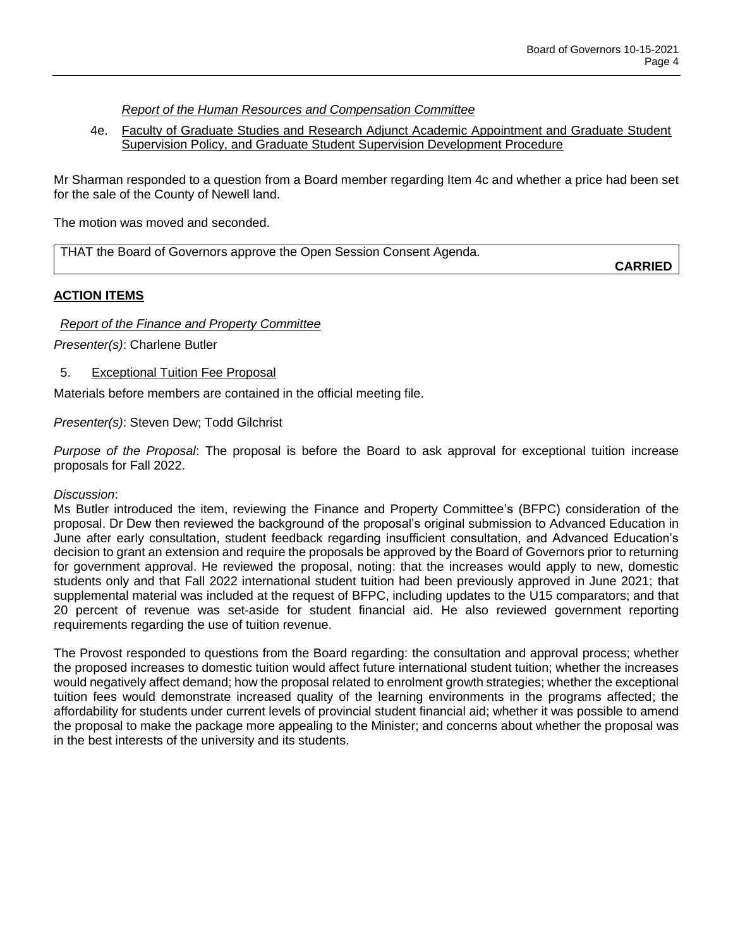*Report of the Human Resources and Compensation Committee*

4e. Faculty of Graduate Studies and Research Adjunct Academic Appointment and Graduate Student Supervision Policy, and Graduate Student Supervision Development Procedure

Mr Sharman responded to a question from a Board member regarding Item 4c and whether a price had been set for the sale of the County of Newell land.

The motion was moved and seconded.

THAT the Board of Governors approve the Open Session Consent Agenda.

**CARRIED**

# **ACTION ITEMS**

## *Report of the Finance and Property Committee*

*Presenter(s)*: Charlene Butler

## 5. Exceptional Tuition Fee Proposal

Materials before members are contained in the official meeting file.

*Presenter(s)*: Steven Dew; Todd Gilchrist

*Purpose of the Proposal*: The proposal is before the Board to ask approval for exceptional tuition increase proposals for Fall 2022.

#### *Discussion*:

Ms Butler introduced the item, reviewing the Finance and Property Committee's (BFPC) consideration of the proposal. Dr Dew then reviewed the background of the proposal's original submission to Advanced Education in June after early consultation, student feedback regarding insufficient consultation, and Advanced Education's decision to grant an extension and require the proposals be approved by the Board of Governors prior to returning for government approval. He reviewed the proposal, noting: that the increases would apply to new, domestic students only and that Fall 2022 international student tuition had been previously approved in June 2021; that supplemental material was included at the request of BFPC, including updates to the U15 comparators; and that 20 percent of revenue was set-aside for student financial aid. He also reviewed government reporting requirements regarding the use of tuition revenue.

The Provost responded to questions from the Board regarding: the consultation and approval process; whether the proposed increases to domestic tuition would affect future international student tuition; whether the increases would negatively affect demand; how the proposal related to enrolment growth strategies; whether the exceptional tuition fees would demonstrate increased quality of the learning environments in the programs affected; the affordability for students under current levels of provincial student financial aid; whether it was possible to amend the proposal to make the package more appealing to the Minister; and concerns about whether the proposal was in the best interests of the university and its students.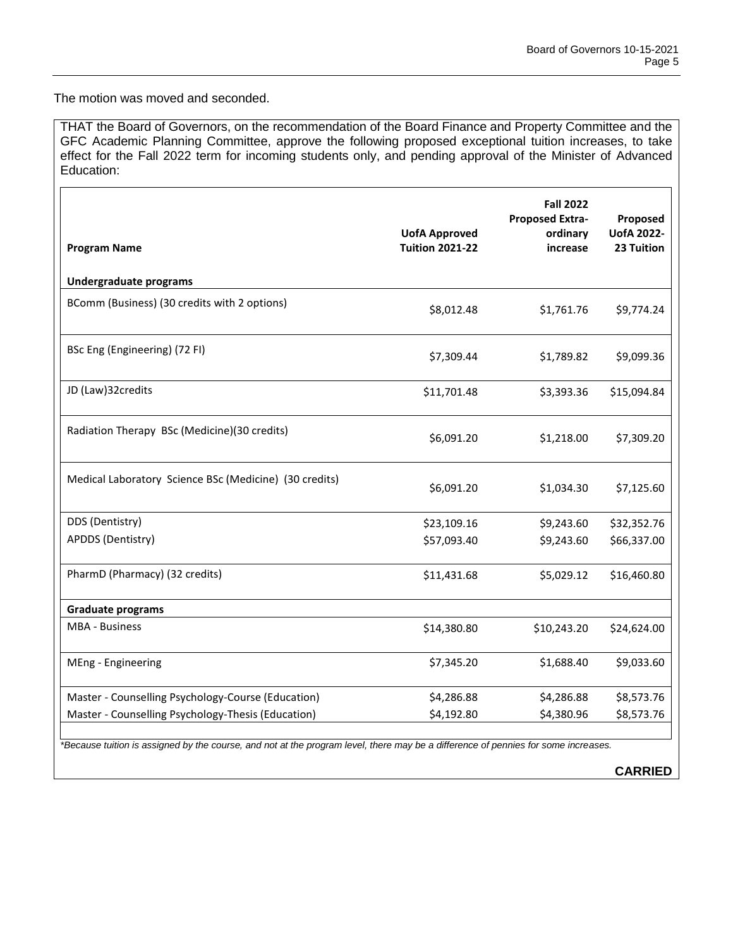The motion was moved and seconded.

THAT the Board of Governors, on the recommendation of the Board Finance and Property Committee and the GFC Academic Planning Committee, approve the following proposed exceptional tuition increases, to take effect for the Fall 2022 term for incoming students only, and pending approval of the Minister of Advanced Education:

| <b>Program Name</b>                                    | <b>UofA Approved</b><br><b>Tuition 2021-22</b> | <b>Fall 2022</b><br><b>Proposed Extra-</b><br>ordinary<br>increase | Proposed<br><b>UofA 2022-</b><br>23 Tuition |  |  |
|--------------------------------------------------------|------------------------------------------------|--------------------------------------------------------------------|---------------------------------------------|--|--|
| Undergraduate programs                                 |                                                |                                                                    |                                             |  |  |
| BComm (Business) (30 credits with 2 options)           | \$8,012.48                                     | \$1,761.76                                                         | \$9,774.24                                  |  |  |
| BSc Eng (Engineering) (72 FI)                          | \$7,309.44                                     | \$1,789.82                                                         | \$9,099.36                                  |  |  |
| JD (Law)32credits                                      | \$11,701.48                                    | \$3,393.36                                                         | \$15,094.84                                 |  |  |
| Radiation Therapy BSc (Medicine)(30 credits)           | \$6,091.20                                     | \$1,218.00                                                         | \$7,309.20                                  |  |  |
| Medical Laboratory Science BSc (Medicine) (30 credits) | \$6,091.20                                     | \$1,034.30                                                         | \$7,125.60                                  |  |  |
| DDS (Dentistry)                                        | \$23,109.16                                    | \$9,243.60                                                         | \$32,352.76                                 |  |  |
| APDDS (Dentistry)                                      | \$57,093.40                                    | \$9,243.60                                                         | \$66,337.00                                 |  |  |
| PharmD (Pharmacy) (32 credits)                         | \$11,431.68                                    | \$5,029.12                                                         | \$16,460.80                                 |  |  |
| <b>Graduate programs</b>                               |                                                |                                                                    |                                             |  |  |
| <b>MBA - Business</b>                                  | \$14,380.80                                    | \$10,243.20                                                        | \$24,624.00                                 |  |  |
| MEng - Engineering                                     | \$7,345.20                                     | \$1,688.40                                                         | \$9,033.60                                  |  |  |
| Master - Counselling Psychology-Course (Education)     | \$4,286.88                                     | \$4,286.88                                                         | \$8,573.76                                  |  |  |
| Master - Counselling Psychology-Thesis (Education)     | \$4,192.80                                     | \$4,380.96                                                         | \$8,573.76                                  |  |  |

*\*Because tuition is assigned by the course, and not at the program level, there may be a difference of pennies for some increases.*

**CARRIED**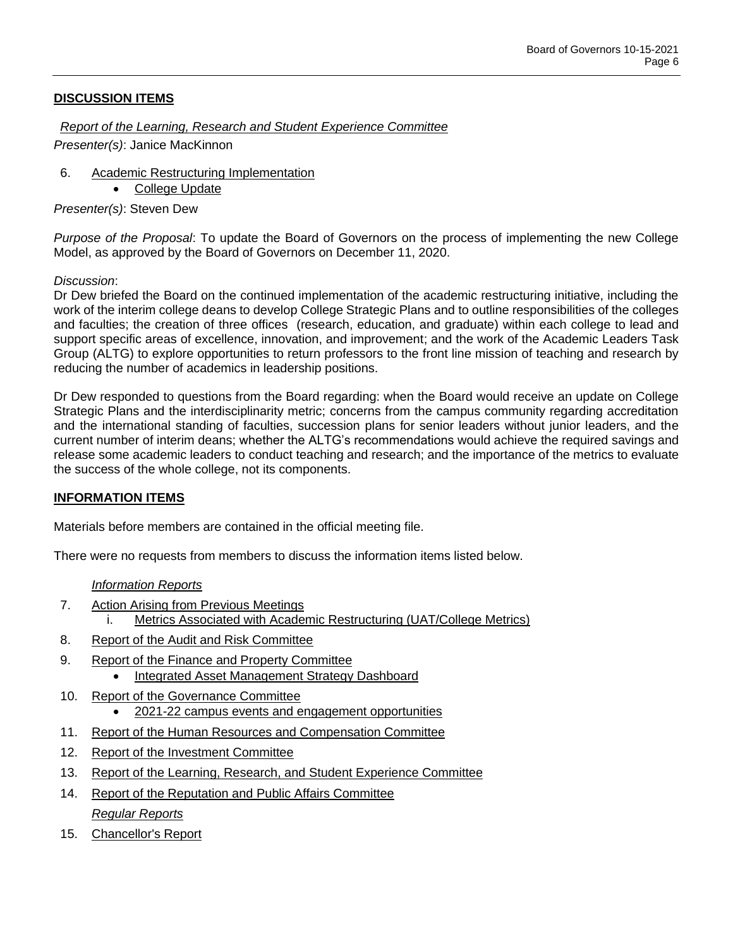# **DISCUSSION ITEMS**

*Report of the Learning, Research and Student Experience Committee*

*Presenter(s)*: Janice MacKinnon

- 6. Academic Restructuring Implementation
	- College Update

*Presenter(s)*: Steven Dew

*Purpose of the Proposal*: To update the Board of Governors on the process of implementing the new College Model, as approved by the Board of Governors on December 11, 2020.

## *Discussion*:

Dr Dew briefed the Board on the continued implementation of the academic restructuring initiative, including the work of the interim college deans to develop College Strategic Plans and to outline responsibilities of the colleges and faculties; the creation of three offices (research, education, and graduate) within each college to lead and support specific areas of excellence, innovation, and improvement; and the work of the Academic Leaders Task Group (ALTG) to explore opportunities to return professors to the front line mission of teaching and research by reducing the number of academics in leadership positions.

Dr Dew responded to questions from the Board regarding: when the Board would receive an update on College Strategic Plans and the interdisciplinarity metric; concerns from the campus community regarding accreditation and the international standing of faculties, succession plans for senior leaders without junior leaders, and the current number of interim deans; whether the ALTG's recommendations would achieve the required savings and release some academic leaders to conduct teaching and research; and the importance of the metrics to evaluate the success of the whole college, not its components.

## **INFORMATION ITEMS**

Materials before members are contained in the official meeting file.

There were no requests from members to discuss the information items listed below.

#### *Information Reports*

- 7. Action Arising from Previous Meetings
	- i. Metrics Associated with Academic Restructuring (UAT/College Metrics)
- 8. Report of the Audit and Risk Committee
- 9. Report of the Finance and Property Committee
	- Integrated Asset Management Strategy Dashboard
- 10. Report of the Governance Committee
	- 2021-22 campus events and engagement opportunities
- 11. Report of the Human Resources and Compensation Committee
- 12. Report of the Investment Committee
- 13. Report of the Learning, Research, and Student Experience Committee
- 14. Report of the Reputation and Public Affairs Committee *Regular Reports*
- 15. Chancellor's Report